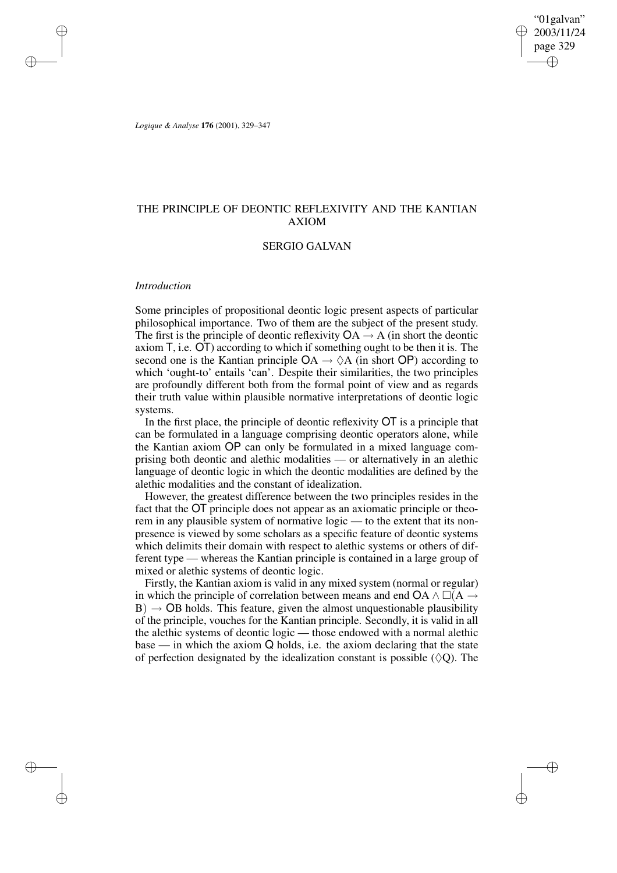"01galvan" 2003/11/24 page 329 ✐ ✐

✐

✐

*Logique & Analyse* **176** (2001), 329–347

# THE PRINCIPLE OF DEONTIC REFLEXIVITY AND THE KANTIAN AXIOM

# SERGIO GALVAN

### *Introduction*

✐

✐

✐

✐

Some principles of propositional deontic logic present aspects of particular philosophical importance. Two of them are the subject of the present study. The first is the principle of deontic reflexivity  $OA \rightarrow A$  (in short the deontic axiom T, i.e. OT) according to which if something ought to be then it is. The second one is the Kantian principle  $OA \rightarrow \Diamond A$  (in short OP) according to which 'ought-to' entails 'can'. Despite their similarities, the two principles are profoundly different both from the formal point of view and as regards their truth value within plausible normative interpretations of deontic logic systems.

In the first place, the principle of deontic reflexivity OT is a principle that can be formulated in a language comprising deontic operators alone, while the Kantian axiom OP can only be formulated in a mixed language comprising both deontic and alethic modalities — or alternatively in an alethic language of deontic logic in which the deontic modalities are defined by the alethic modalities and the constant of idealization.

However, the greatest difference between the two principles resides in the fact that the OT principle does not appear as an axiomatic principle or theorem in any plausible system of normative logic — to the extent that its nonpresence is viewed by some scholars as a specific feature of deontic systems which delimits their domain with respect to alethic systems or others of different type — whereas the Kantian principle is contained in a large group of mixed or alethic systems of deontic logic.

Firstly, the Kantian axiom is valid in any mixed system (normal or regular) in which the principle of correlation between means and end  $OA \wedge \Box (A \rightarrow$  $B) \rightarrow OB$  holds. This feature, given the almost unquestionable plausibility of the principle, vouches for the Kantian principle. Secondly, it is valid in all the alethic systems of deontic logic — those endowed with a normal alethic base — in which the axiom Q holds, i.e. the axiom declaring that the state of perfection designated by the idealization constant is possible  $(\Diamond Q)$ . The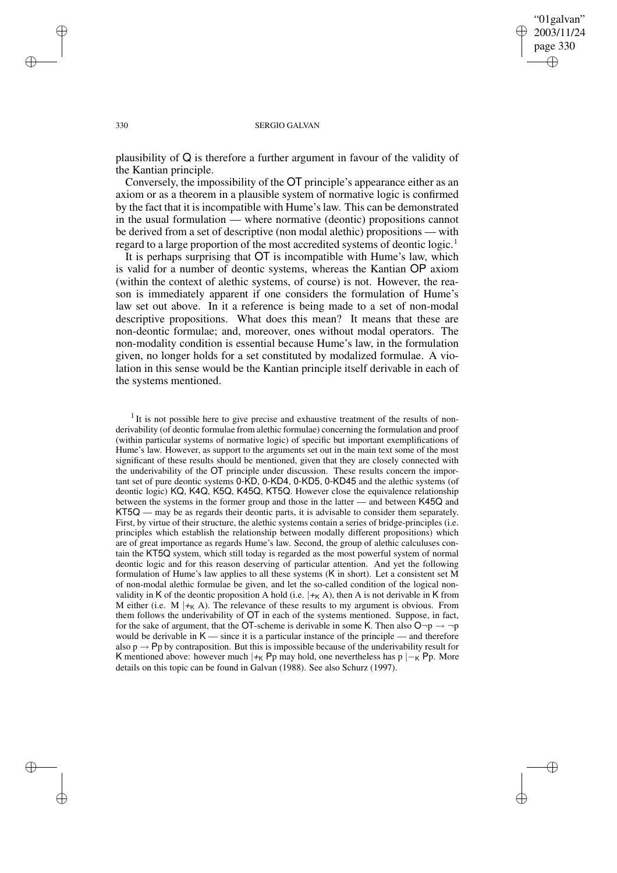"01galvan" 2003/11/24 page 330 ✐ ✐

✐

✐

#### 330 SERGIO GALVAN

plausibility of Q is therefore a further argument in favour of the validity of the Kantian principle.

Conversely, the impossibility of the OT principle's appearance either as an axiom or as a theorem in a plausible system of normative logic is confirmed by the fact that it is incompatible with Hume's law. This can be demonstrated in the usual formulation — where normative (deontic) propositions cannot be derived from a set of descriptive (non modal alethic) propositions — with regard to a large proportion of the most accredited systems of deontic logic.<sup>1</sup>

It is perhaps surprising that OT is incompatible with Hume's law, which is valid for a number of deontic systems, whereas the Kantian OP axiom (within the context of alethic systems, of course) is not. However, the reason is immediately apparent if one considers the formulation of Hume's law set out above. In it a reference is being made to a set of non-modal descriptive propositions. What does this mean? It means that these are non-deontic formulae; and, moreover, ones without modal operators. The non-modality condition is essential because Hume's law, in the formulation given, no longer holds for a set constituted by modalized formulae. A violation in this sense would be the Kantian principle itself derivable in each of the systems mentioned.

 $<sup>1</sup>$  It is not possible here to give precise and exhaustive treatment of the results of non-</sup> derivability (of deontic formulae from alethic formulae) concerning the formulation and proof (within particular systems of normative logic) of specific but important exemplifications of Hume's law. However, as support to the arguments set out in the main text some of the most significant of these results should be mentioned, given that they are closely connected with the underivability of the OT principle under discussion. These results concern the important set of pure deontic systems 0-KD, 0-KD4, 0-KD5, 0-KD45 and the alethic systems (of deontic logic) KQ, K4Q, K5Q, K45Q, KT5Q. However close the equivalence relationship between the systems in the former group and those in the latter — and between K45Q and KT5Q — may be as regards their deontic parts, it is advisable to consider them separately. First, by virtue of their structure, the alethic systems contain a series of bridge-principles (i.e. principles which establish the relationship between modally different propositions) which are of great importance as regards Hume's law. Second, the group of alethic calculuses contain the KT5Q system, which still today is regarded as the most powerful system of normal deontic logic and for this reason deserving of particular attention. And yet the following formulation of Hume's law applies to all these systems (K in short). Let a consistent set M of non-modal alethic formulae be given, and let the so-called condition of the logical nonvalidity in K of the deontic proposition A hold (i.e.  $|+_K A$ ), then A is not derivable in K from M either (i.e. M  $|+_K A$ ). The relevance of these results to my argument is obvious. From them follows the underivability of OT in each of the systems mentioned. Suppose, in fact, for the sake of argument, that the OT-scheme is derivable in some K. Then also  $O\neg p \rightarrow \neg p$ would be derivable in  $K$  — since it is a particular instance of the principle — and therefore also  $p \rightarrow Pp$  by contraposition. But this is impossible because of the underivability result for K mentioned above: however much  $|+_K P_p$  may hold, one nevertheless has p  $|-_K P_p$ . More details on this topic can be found in Galvan (1988). See also Schurz (1997).

✐

✐

✐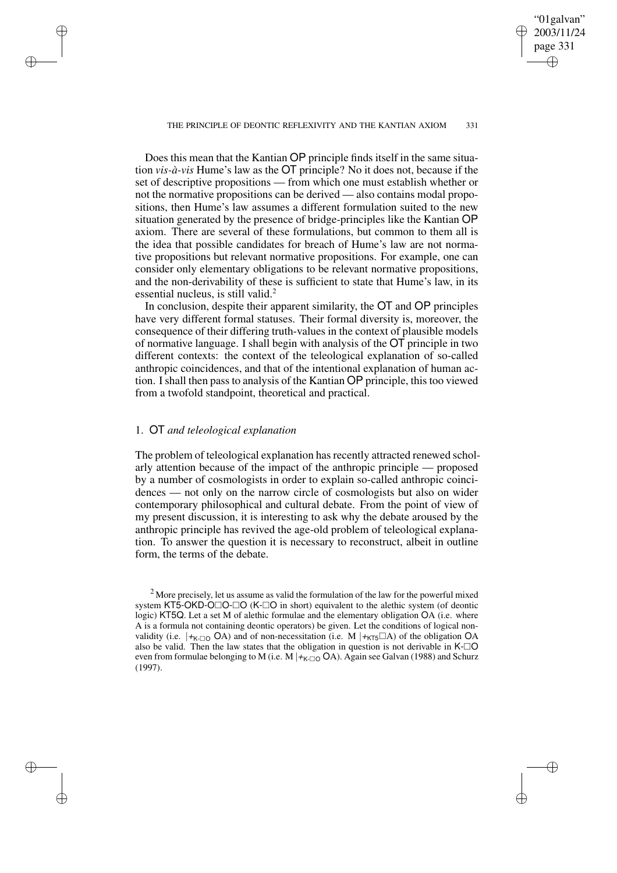## "01galvan" 2003/11/24 page 331 ✐ ✐

✐

✐

#### THE PRINCIPLE OF DEONTIC REFLEXIVITY AND THE KANTIAN AXIOM 331

Does this mean that the Kantian OP principle finds itself in the same situation *vis-à-vis* Hume's law as the OT principle? No it does not, because if the set of descriptive propositions — from which one must establish whether or not the normative propositions can be derived — also contains modal propositions, then Hume's law assumes a different formulation suited to the new situation generated by the presence of bridge-principles like the Kantian OP axiom. There are several of these formulations, but common to them all is the idea that possible candidates for breach of Hume's law are not normative propositions but relevant normative propositions. For example, one can consider only elementary obligations to be relevant normative propositions, and the non-derivability of these is sufficient to state that Hume's law, in its essential nucleus, is still valid. $<sup>2</sup>$ </sup>

In conclusion, despite their apparent similarity, the OT and OP principles have very different formal statuses. Their formal diversity is, moreover, the consequence of their differing truth-values in the context of plausible models of normative language. I shall begin with analysis of the OT principle in two different contexts: the context of the teleological explanation of so-called anthropic coincidences, and that of the intentional explanation of human action. Ishall then passto analysis of the Kantian OP principle, thistoo viewed from a twofold standpoint, theoretical and practical.

## 1. OT *and teleological explanation*

✐

✐

✐

✐

The problem of teleological explanation has recently attracted renewed scholarly attention because of the impact of the anthropic principle — proposed by a number of cosmologists in order to explain so-called anthropic coincidences — not only on the narrow circle of cosmologists but also on wider contemporary philosophical and cultural debate. From the point of view of my present discussion, it is interesting to ask why the debate aroused by the anthropic principle has revived the age-old problem of teleological explanation. To answer the question it is necessary to reconstruct, albeit in outline form, the terms of the debate.

<sup>&</sup>lt;sup>2</sup> More precisely, let us assume as valid the formulation of the law for the powerful mixed system KT5-OKD-O $\Box$ O (K- $\Box$ O in short) equivalent to the alethic system (of deontic logic) KT5Q. Let a set M of alethic formulae and the elementary obligation OA (i.e. where A is a formula not containing deontic operators) be given. Let the conditions of logical nonvalidity (i.e.  $|+_{K-}\rangle$  OA) and of non-necessitation (i.e. M  $|+_{K+}\rangle$  and  $\overline{A}$ ) of the obligation OA also be valid. Then the law states that the obligation in question is not derivable in  $K-\square$ even from formulae belonging to M (i.e. M  $|+_{K-}\square_{\mathcal{O}}$  OA). Again see Galvan (1988) and Schurz (1997).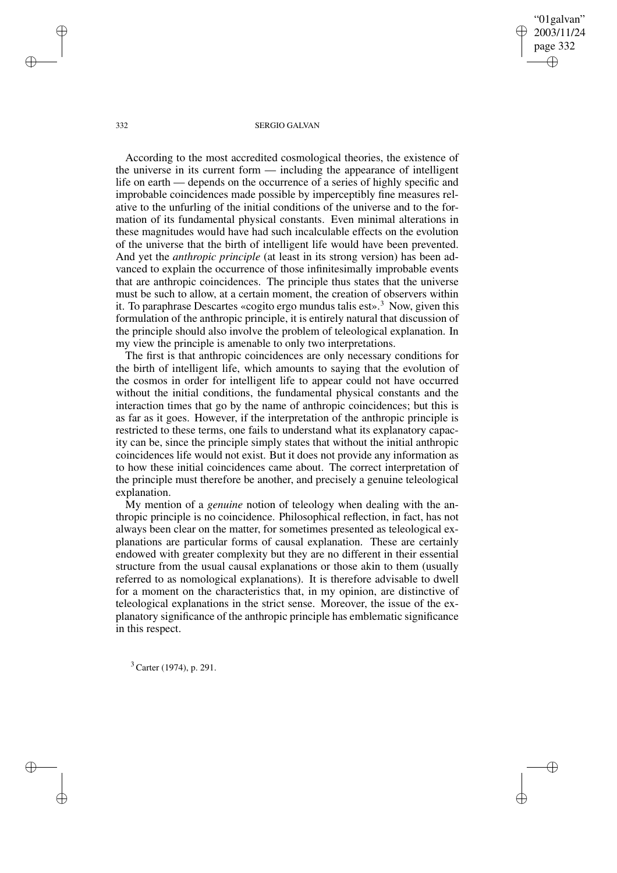"01galvan" 2003/11/24 page 332 ✐ ✐

✐

✐

#### 332 SERGIO GALVAN

According to the most accredited cosmological theories, the existence of the universe in its current form — including the appearance of intelligent life on earth — depends on the occurrence of a series of highly specific and improbable coincidences made possible by imperceptibly fine measures relative to the unfurling of the initial conditions of the universe and to the formation of its fundamental physical constants. Even minimal alterations in these magnitudes would have had such incalculable effects on the evolution of the universe that the birth of intelligent life would have been prevented. And yet the *anthropic principle* (at least in its strong version) has been advanced to explain the occurrence of those infinitesimally improbable events that are anthropic coincidences. The principle thus states that the universe must be such to allow, at a certain moment, the creation of observers within it. To paraphrase Descartes «cogito ergo mundus talis est».<sup>3</sup> Now, given this formulation of the anthropic principle, it is entirely natural that discussion of the principle should also involve the problem of teleological explanation. In my view the principle is amenable to only two interpretations.

The first is that anthropic coincidences are only necessary conditions for the birth of intelligent life, which amounts to saying that the evolution of the cosmos in order for intelligent life to appear could not have occurred without the initial conditions, the fundamental physical constants and the interaction times that go by the name of anthropic coincidences; but this is as far as it goes. However, if the interpretation of the anthropic principle is restricted to these terms, one fails to understand what its explanatory capacity can be, since the principle simply states that without the initial anthropic coincidences life would not exist. But it does not provide any information as to how these initial coincidences came about. The correct interpretation of the principle must therefore be another, and precisely a genuine teleological explanation.

My mention of a *genuine* notion of teleology when dealing with the anthropic principle is no coincidence. Philosophical reflection, in fact, has not always been clear on the matter, for sometimes presented as teleological explanations are particular forms of causal explanation. These are certainly endowed with greater complexity but they are no different in their essential structure from the usual causal explanations or those akin to them (usually referred to as nomological explanations). It is therefore advisable to dwell for a moment on the characteristics that, in my opinion, are distinctive of teleological explanations in the strict sense. Moreover, the issue of the explanatory significance of the anthropic principle has emblematic significance in this respect.

<sup>3</sup> Carter (1974), p. 291.

✐

✐

✐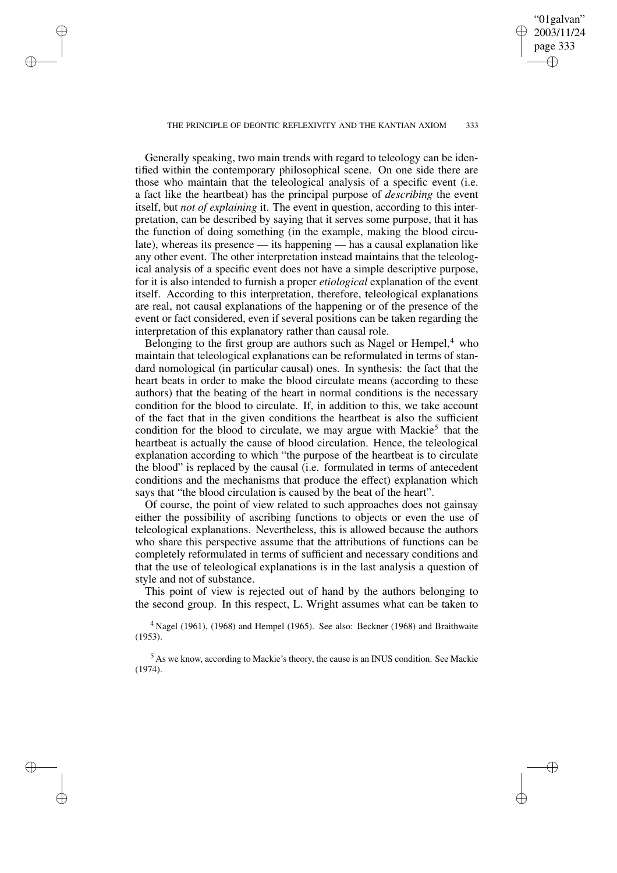# THE PRINCIPLE OF DEONTIC REFLEXIVITY AND THE KANTIAN AXIOM 333

"01galvan" 2003/11/24 page 333

✐

✐

✐

✐

Generally speaking, two main trends with regard to teleology can be identified within the contemporary philosophical scene. On one side there are those who maintain that the teleological analysis of a specific event (i.e. a fact like the heartbeat) has the principal purpose of *describing* the event itself, but *not of explaining* it. The event in question, according to this interpretation, can be described by saying that it serves some purpose, that it has the function of doing something (in the example, making the blood circulate), whereas its presence — its happening — has a causal explanation like any other event. The other interpretation instead maintains that the teleological analysis of a specific event does not have a simple descriptive purpose, for it is also intended to furnish a proper *etiological* explanation of the event itself. According to this interpretation, therefore, teleological explanations are real, not causal explanations of the happening or of the presence of the event or fact considered, even if several positions can be taken regarding the interpretation of this explanatory rather than causal role.

✐

✐

✐

✐

Belonging to the first group are authors such as Nagel or Hempel, $4$  who maintain that teleological explanations can be reformulated in terms of standard nomological (in particular causal) ones. In synthesis: the fact that the heart beats in order to make the blood circulate means (according to these authors) that the beating of the heart in normal conditions is the necessary condition for the blood to circulate. If, in addition to this, we take account of the fact that in the given conditions the heartbeat is also the sufficient condition for the blood to circulate, we may argue with Mackie<sup>5</sup> that the heartbeat is actually the cause of blood circulation. Hence, the teleological explanation according to which "the purpose of the heartbeat is to circulate the blood" is replaced by the causal (i.e. formulated in terms of antecedent conditions and the mechanisms that produce the effect) explanation which says that "the blood circulation is caused by the beat of the heart".

Of course, the point of view related to such approaches does not gainsay either the possibility of ascribing functions to objects or even the use of teleological explanations. Nevertheless, this is allowed because the authors who share this perspective assume that the attributions of functions can be completely reformulated in terms of sufficient and necessary conditions and that the use of teleological explanations is in the last analysis a question of style and not of substance.

This point of view is rejected out of hand by the authors belonging to the second group. In this respect, L. Wright assumes what can be taken to

 $4$  Nagel (1961), (1968) and Hempel (1965). See also: Beckner (1968) and Braithwaite (1953).

<sup>5</sup> As we know, according to Mackie's theory, the cause is an INUS condition. See Mackie (1974).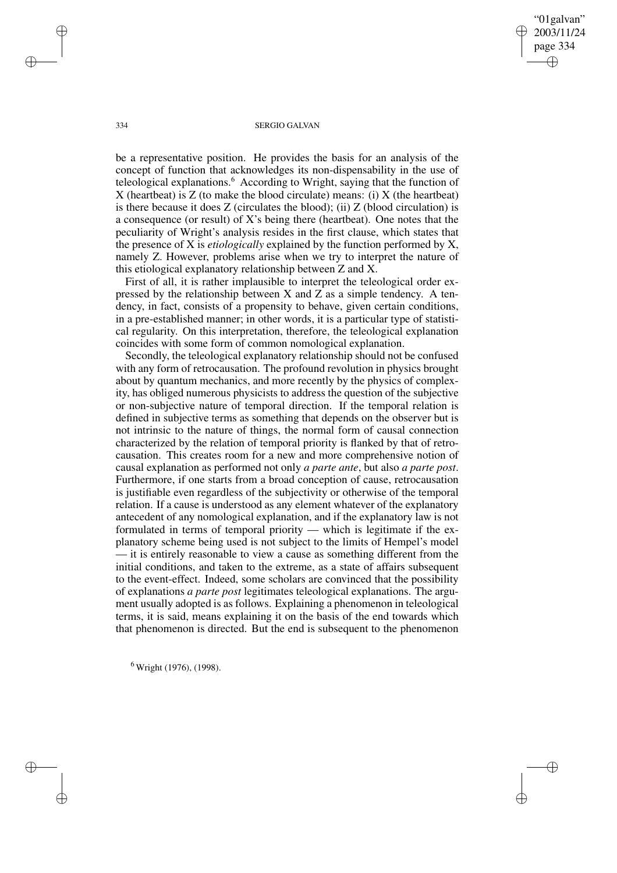"01galvan" 2003/11/24 page 334 ✐ ✐

✐

✐

#### 334 SERGIO GALVAN

be a representative position. He provides the basis for an analysis of the concept of function that acknowledges its non-dispensability in the use of teleological explanations.<sup>6</sup> According to Wright, saying that the function of X (heartbeat) is Z (to make the blood circulate) means: (i) X (the heartbeat) is there because it does  $Z$  (circulates the blood); (ii)  $Z$  (blood circulation) is a consequence (or result) of X's being there (heartbeat). One notes that the peculiarity of Wright's analysis resides in the first clause, which states that the presence of X is *etiologically* explained by the function performed by X, namely Z. However, problems arise when we try to interpret the nature of this etiological explanatory relationship between Z and X.

First of all, it is rather implausible to interpret the teleological order expressed by the relationship between X and Z as a simple tendency. A tendency, in fact, consists of a propensity to behave, given certain conditions, in a pre-established manner; in other words, it is a particular type of statistical regularity. On this interpretation, therefore, the teleological explanation coincides with some form of common nomological explanation.

Secondly, the teleological explanatory relationship should not be confused with any form of retrocausation. The profound revolution in physics brought about by quantum mechanics, and more recently by the physics of complexity, has obliged numerous physicists to address the question of the subjective or non-subjective nature of temporal direction. If the temporal relation is defined in subjective terms as something that depends on the observer but is not intrinsic to the nature of things, the normal form of causal connection characterized by the relation of temporal priority is flanked by that of retrocausation. This creates room for a new and more comprehensive notion of causal explanation as performed not only *a parte ante*, but also *a parte post*. Furthermore, if one starts from a broad conception of cause, retrocausation is justifiable even regardless of the subjectivity or otherwise of the temporal relation. If a cause is understood as any element whatever of the explanatory antecedent of any nomological explanation, and if the explanatory law is not formulated in terms of temporal priority — which is legitimate if the explanatory scheme being used is not subject to the limits of Hempel's model — it is entirely reasonable to view a cause as something different from the initial conditions, and taken to the extreme, as a state of affairs subsequent to the event-effect. Indeed, some scholars are convinced that the possibility of explanations *a parte post* legitimates teleological explanations. The argument usually adopted is as follows. Explaining a phenomenon in teleological terms, it is said, means explaining it on the basis of the end towards which that phenomenon is directed. But the end is subsequent to the phenomenon

<sup>6</sup> Wright (1976), (1998).

✐

✐

✐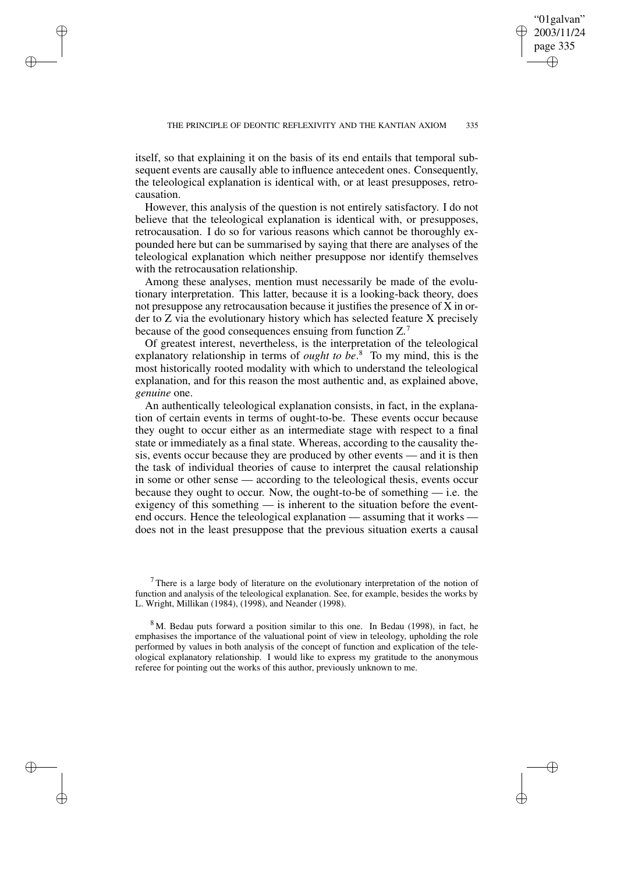✐

itself, so that explaining it on the basis of its end entails that temporal subsequent events are causally able to influence antecedent ones. Consequently, the teleological explanation is identical with, or at least presupposes, retrocausation.

✐

✐

✐

✐

However, this analysis of the question is not entirely satisfactory. I do not believe that the teleological explanation is identical with, or presupposes, retrocausation. I do so for various reasons which cannot be thoroughly expounded here but can be summarised by saying that there are analyses of the teleological explanation which neither presuppose nor identify themselves with the retrocausation relationship.

Among these analyses, mention must necessarily be made of the evolutionary interpretation. This latter, because it is a looking-back theory, does not presuppose any retrocausation because it justifies the presence of X in order to Z via the evolutionary history which has selected feature X precisely because of the good consequences ensuing from function Z.<sup>7</sup>

Of greatest interest, nevertheless, is the interpretation of the teleological explanatory relationship in terms of *ought to be*. <sup>8</sup> To my mind, this is the most historically rooted modality with which to understand the teleological explanation, and for this reason the most authentic and, as explained above, *genuine* one.

An authentically teleological explanation consists, in fact, in the explanation of certain events in terms of ought-to-be. These events occur because they ought to occur either as an intermediate stage with respect to a final state or immediately as a final state. Whereas, according to the causality thesis, events occur because they are produced by other events — and it is then the task of individual theories of cause to interpret the causal relationship in some or other sense — according to the teleological thesis, events occur because they ought to occur. Now, the ought-to-be of something — i.e. the exigency of this something — is inherent to the situation before the eventend occurs. Hence the teleological explanation — assuming that it works does not in the least presuppose that the previous situation exerts a causal

<sup>7</sup> There is a large body of literature on the evolutionary interpretation of the notion of function and analysis of the teleological explanation. See, for example, besides the works by L. Wright, Millikan (1984), (1998), and Neander (1998).

<sup>8</sup> M. Bedau puts forward a position similar to this one. In Bedau (1998), in fact, he emphasises the importance of the valuational point of view in teleology, upholding the role performed by values in both analysis of the concept of function and explication of the teleological explanatory relationship. I would like to express my gratitude to the anonymous referee for pointing out the works of this author, previously unknown to me.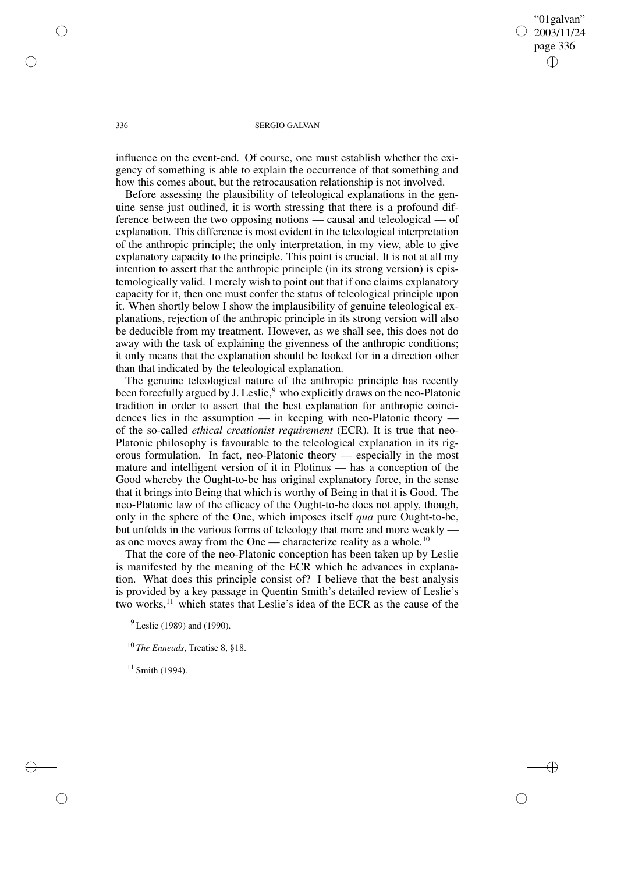"01galvan" 2003/11/24 page 336 ✐ ✐

✐

✐

#### 336 SERGIO GALVAN

influence on the event-end. Of course, one must establish whether the exigency of something is able to explain the occurrence of that something and how this comes about, but the retrocausation relationship is not involved.

Before assessing the plausibility of teleological explanations in the genuine sense just outlined, it is worth stressing that there is a profound difference between the two opposing notions — causal and teleological — of explanation. This difference is most evident in the teleological interpretation of the anthropic principle; the only interpretation, in my view, able to give explanatory capacity to the principle. This point is crucial. It is not at all my intention to assert that the anthropic principle (in its strong version) is epistemologically valid. I merely wish to point out that if one claims explanatory capacity for it, then one must confer the status of teleological principle upon it. When shortly below I show the implausibility of genuine teleological explanations, rejection of the anthropic principle in its strong version will also be deducible from my treatment. However, as we shall see, this does not do away with the task of explaining the givenness of the anthropic conditions; it only means that the explanation should be looked for in a direction other than that indicated by the teleological explanation.

The genuine teleological nature of the anthropic principle has recently been forcefully argued by J. Leslie,<sup>9</sup> who explicitly draws on the neo-Platonic tradition in order to assert that the best explanation for anthropic coincidences lies in the assumption — in keeping with neo-Platonic theory of the so-called *ethical creationist requirement* (ECR). It is true that neo-Platonic philosophy is favourable to the teleological explanation in its rigorous formulation. In fact, neo-Platonic theory — especially in the most mature and intelligent version of it in Plotinus — has a conception of the Good whereby the Ought-to-be has original explanatory force, in the sense that it brings into Being that which is worthy of Being in that it is Good. The neo-Platonic law of the efficacy of the Ought-to-be does not apply, though, only in the sphere of the One, which imposes itself *qua* pure Ought-to-be, but unfolds in the various forms of teleology that more and more weakly as one moves away from the One — characterize reality as a whole.<sup>10</sup>

That the core of the neo-Platonic conception has been taken up by Leslie is manifested by the meaning of the ECR which he advances in explanation. What does this principle consist of? I believe that the best analysis is provided by a key passage in Quentin Smith's detailed review of Leslie's two works,<sup>11</sup> which states that Leslie's idea of the ECR as the cause of the

<sup>9</sup> Leslie (1989) and (1990).

<sup>10</sup> *The Enneads*, Treatise 8, §18.

 $11$  Smith (1994).

✐

✐

✐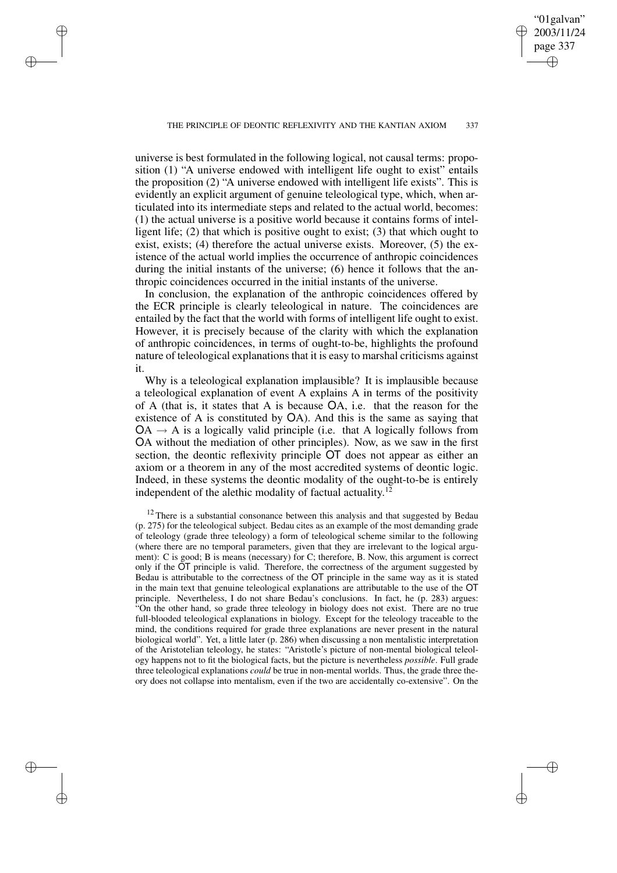✐

✐

✐

✐

✐

universe is best formulated in the following logical, not causal terms: proposition (1) "A universe endowed with intelligent life ought to exist" entails the proposition (2) "A universe endowed with intelligent life exists". This is evidently an explicit argument of genuine teleological type, which, when articulated into its intermediate steps and related to the actual world, becomes: (1) the actual universe is a positive world because it contains forms of intelligent life; (2) that which is positive ought to exist; (3) that which ought to exist, exists; (4) therefore the actual universe exists. Moreover, (5) the existence of the actual world implies the occurrence of anthropic coincidences during the initial instants of the universe; (6) hence it follows that the anthropic coincidences occurred in the initial instants of the universe.

In conclusion, the explanation of the anthropic coincidences offered by the ECR principle is clearly teleological in nature. The coincidences are entailed by the fact that the world with forms of intelligent life ought to exist. However, it is precisely because of the clarity with which the explanation of anthropic coincidences, in terms of ought-to-be, highlights the profound nature of teleological explanations that it is easy to marshal criticisms against it.

Why is a teleological explanation implausible? It is implausible because a teleological explanation of event A explains A in terms of the positivity of A (that is, it states that A is because OA, i.e. that the reason for the existence of A is constituted by OA). And this is the same as saying that  $OA \rightarrow A$  is a logically valid principle (i.e. that A logically follows from OA without the mediation of other principles). Now, as we saw in the first section, the deontic reflexivity principle OT does not appear as either an axiom or a theorem in any of the most accredited systems of deontic logic. Indeed, in these systems the deontic modality of the ought-to-be is entirely independent of the alethic modality of factual actuality.<sup>12</sup>

 $12$  There is a substantial consonance between this analysis and that suggested by Bedau (p. 275) for the teleological subject. Bedau cites as an example of the most demanding grade of teleology (grade three teleology) a form of teleological scheme similar to the following (where there are no temporal parameters, given that they are irrelevant to the logical argument): C is good; B is means (necessary) for C; therefore, B. Now, this argument is correct only if the OT principle is valid. Therefore, the correctness of the argument suggested by Bedau is attributable to the correctness of the OT principle in the same way as it is stated in the main text that genuine teleological explanations are attributable to the use of the OT principle. Nevertheless, I do not share Bedau's conclusions. In fact, he (p. 283) argues: "On the other hand, so grade three teleology in biology does not exist. There are no true full-blooded teleological explanations in biology. Except for the teleology traceable to the mind, the conditions required for grade three explanations are never present in the natural biological world". Yet, a little later (p. 286) when discussing a non mentalistic interpretation of the Aristotelian teleology, he states: "Aristotle's picture of non-mental biological teleology happens not to fit the biological facts, but the picture is nevertheless *possible*. Full grade three teleological explanations *could* be true in non-mental worlds. Thus, the grade three theory does not collapse into mentalism, even if the two are accidentally co-extensive". On the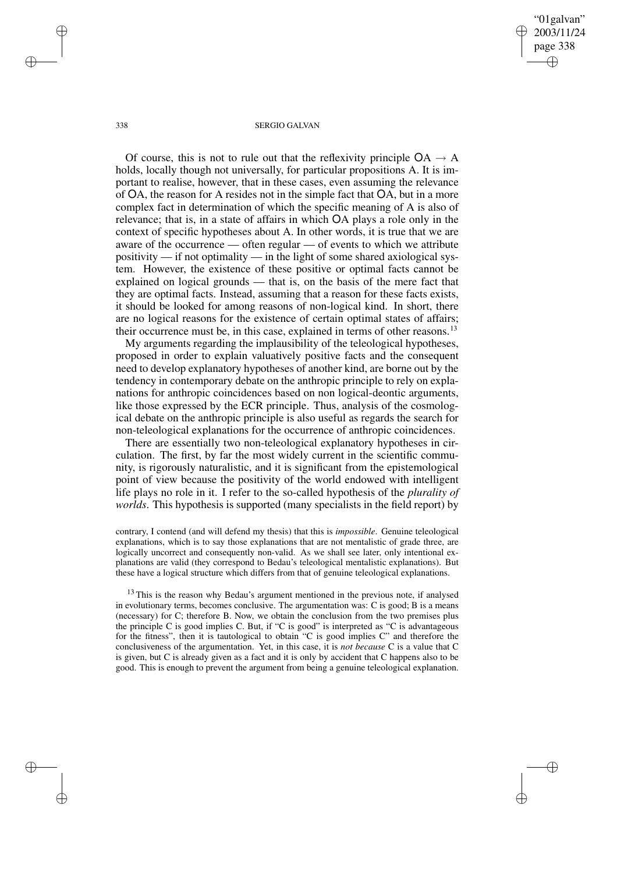"01galvan" 2003/11/24 page 338 ✐ ✐

✐

✐

#### 338 SERGIO GALVAN

Of course, this is not to rule out that the reflexivity principle  $OA \rightarrow A$ holds, locally though not universally, for particular propositions A. It is important to realise, however, that in these cases, even assuming the relevance of OA, the reason for A resides not in the simple fact that OA, but in a more complex fact in determination of which the specific meaning of A is also of relevance; that is, in a state of affairs in which OA plays a role only in the context of specific hypotheses about A. In other words, it is true that we are aware of the occurrence — often regular — of events to which we attribute positivity — if not optimality — in the light of some shared axiological system. However, the existence of these positive or optimal facts cannot be explained on logical grounds — that is, on the basis of the mere fact that they are optimal facts. Instead, assuming that a reason for these facts exists, it should be looked for among reasons of non-logical kind. In short, there are no logical reasons for the existence of certain optimal states of affairs; their occurrence must be, in this case, explained in terms of other reasons.<sup>13</sup>

My arguments regarding the implausibility of the teleological hypotheses, proposed in order to explain valuatively positive facts and the consequent need to develop explanatory hypotheses of another kind, are borne out by the tendency in contemporary debate on the anthropic principle to rely on explanations for anthropic coincidences based on non logical-deontic arguments, like those expressed by the ECR principle. Thus, analysis of the cosmological debate on the anthropic principle is also useful as regards the search for non-teleological explanations for the occurrence of anthropic coincidences.

There are essentially two non-teleological explanatory hypotheses in circulation. The first, by far the most widely current in the scientific community, is rigorously naturalistic, and it is significant from the epistemological point of view because the positivity of the world endowed with intelligent life plays no role in it. I refer to the so-called hypothesis of the *plurality of worlds*. This hypothesis is supported (many specialists in the field report) by

contrary, I contend (and will defend my thesis) that this is *impossible*. Genuine teleological explanations, which is to say those explanations that are not mentalistic of grade three, are logically uncorrect and consequently non-valid. As we shall see later, only intentional explanations are valid (they correspond to Bedau's teleological mentalistic explanations). But these have a logical structure which differs from that of genuine teleological explanations.

<sup>13</sup> This is the reason why Bedau's argument mentioned in the previous note, if analysed in evolutionary terms, becomes conclusive. The argumentation was: C is good; B is a means (necessary) for C; therefore B. Now, we obtain the conclusion from the two premises plus the principle C is good implies C. But, if "C is good" is interpreted as "C is advantageous for the fitness", then it is tautological to obtain "C is good implies C" and therefore the conclusiveness of the argumentation. Yet, in this case, it is *not because* C is a value that C is given, but C is already given as a fact and it is only by accident that C happens also to be good. This is enough to prevent the argument from being a genuine teleological explanation.

✐

✐

✐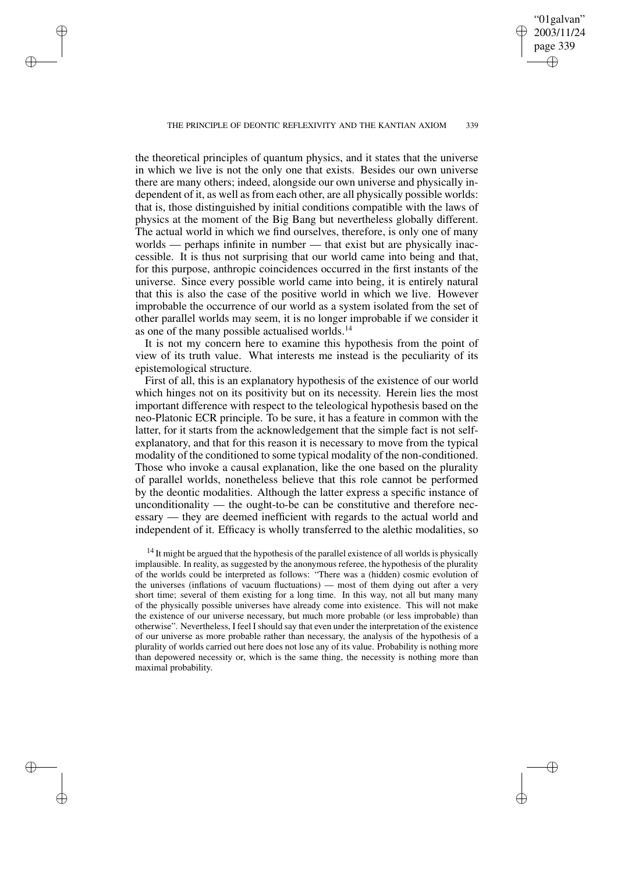✐

✐

✐

"01galvan" 2003/11/24 page 339

✐

✐

✐

✐

the theoretical principles of quantum physics, and it states that the universe in which we live is not the only one that exists. Besides our own universe there are many others; indeed, alongside our own universe and physically independent of it, as well as from each other, are all physically possible worlds: that is, those distinguished by initial conditions compatible with the laws of physics at the moment of the Big Bang but nevertheless globally different. The actual world in which we find ourselves, therefore, is only one of many worlds — perhaps infinite in number — that exist but are physically inaccessible. It is thus not surprising that our world came into being and that, for this purpose, anthropic coincidences occurred in the first instants of the universe. Since every possible world came into being, it is entirely natural that this is also the case of the positive world in which we live. However improbable the occurrence of our world as a system isolated from the set of other parallel worlds may seem, it is no longer improbable if we consider it as one of the many possible actualised worlds.<sup>14</sup>

It is not my concern here to examine this hypothesis from the point of view of its truth value. What interests me instead is the peculiarity of its epistemological structure.

First of all, this is an explanatory hypothesis of the existence of our world which hinges not on its positivity but on its necessity. Herein lies the most important difference with respect to the teleological hypothesis based on the neo-Platonic ECR principle. To be sure, it has a feature in common with the latter, for it starts from the acknowledgement that the simple fact is not selfexplanatory, and that for this reason it is necessary to move from the typical modality of the conditioned to some typical modality of the non-conditioned. Those who invoke a causal explanation, like the one based on the plurality of parallel worlds, nonetheless believe that this role cannot be performed by the deontic modalities. Although the latter express a specific instance of unconditionality — the ought-to-be can be constitutive and therefore necessary — they are deemed inefficient with regards to the actual world and independent of it. Efficacy is wholly transferred to the alethic modalities, so

 $<sup>14</sup>$  It might be argued that the hypothesis of the parallel existence of all worlds is physically</sup> implausible. In reality, as suggested by the anonymous referee, the hypothesis of the plurality of the worlds could be interpreted as follows: "There was a (hidden) cosmic evolution of the universes (inflations of vacuum fluctuations) — most of them dying out after a very short time; several of them existing for a long time. In this way, not all but many many of the physically possible universes have already come into existence. This will not make the existence of our universe necessary, but much more probable (or less improbable) than otherwise". Nevertheless, I feel Ishould say that even under the interpretation of the existence of our universe as more probable rather than necessary, the analysis of the hypothesis of a plurality of worlds carried out here does not lose any of its value. Probability is nothing more than depowered necessity or, which is the same thing, the necessity is nothing more than maximal probability.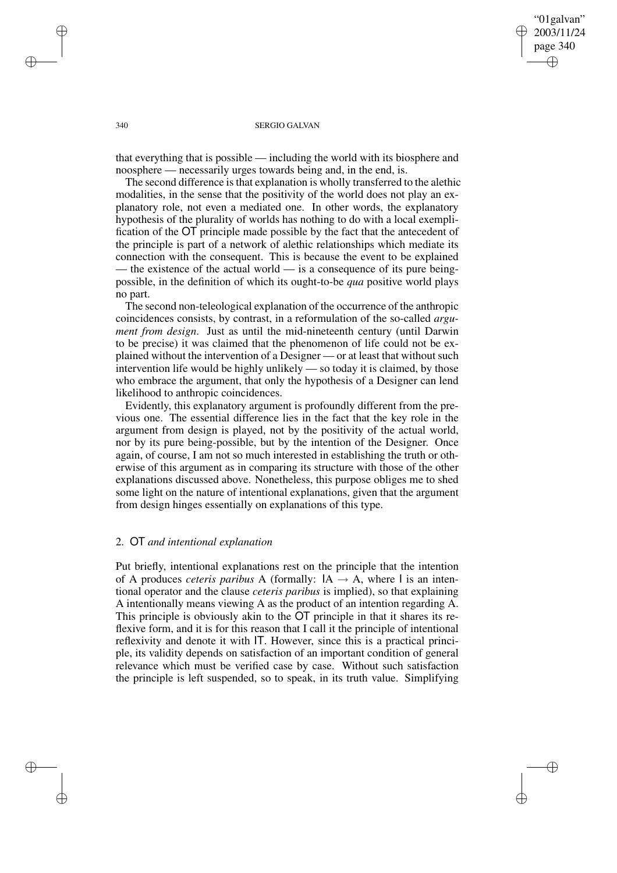"01galvan" 2003/11/24 page 340 ✐ ✐

✐

✐

#### 340 SERGIO GALVAN

that everything that is possible — including the world with its biosphere and noosphere — necessarily urges towards being and, in the end, is.

The second difference is that explanation is wholly transferred to the alethic modalities, in the sense that the positivity of the world does not play an explanatory role, not even a mediated one. In other words, the explanatory hypothesis of the plurality of worlds has nothing to do with a local exemplification of the OT principle made possible by the fact that the antecedent of the principle is part of a network of alethic relationships which mediate its connection with the consequent. This is because the event to be explained — the existence of the actual world — is a consequence of its pure beingpossible, in the definition of which its ought-to-be *qua* positive world plays no part.

The second non-teleological explanation of the occurrence of the anthropic coincidences consists, by contrast, in a reformulation of the so-called *argument from design*. Just as until the mid-nineteenth century (until Darwin to be precise) it was claimed that the phenomenon of life could not be explained without the intervention of a Designer — or at least that without such intervention life would be highly unlikely — so today it is claimed, by those who embrace the argument, that only the hypothesis of a Designer can lend likelihood to anthropic coincidences.

Evidently, this explanatory argument is profoundly different from the previous one. The essential difference lies in the fact that the key role in the argument from design is played, not by the positivity of the actual world, nor by its pure being-possible, but by the intention of the Designer. Once again, of course, I am not so much interested in establishing the truth or otherwise of this argument as in comparing its structure with those of the other explanations discussed above. Nonetheless, this purpose obliges me to shed some light on the nature of intentional explanations, given that the argument from design hinges essentially on explanations of this type.

## 2. OT *and intentional explanation*

Put briefly, intentional explanations rest on the principle that the intention of A produces *ceteris* paribus A (formally:  $IA \rightarrow A$ , where I is an intentional operator and the clause *ceteris paribus* is implied), so that explaining A intentionally means viewing A as the product of an intention regarding A. This principle is obviously akin to the OT principle in that it shares its reflexive form, and it is for this reason that I call it the principle of intentional reflexivity and denote it with IT. However, since this is a practical principle, its validity depends on satisfaction of an important condition of general relevance which must be verified case by case. Without such satisfaction the principle is left suspended, so to speak, in its truth value. Simplifying

✐

✐

✐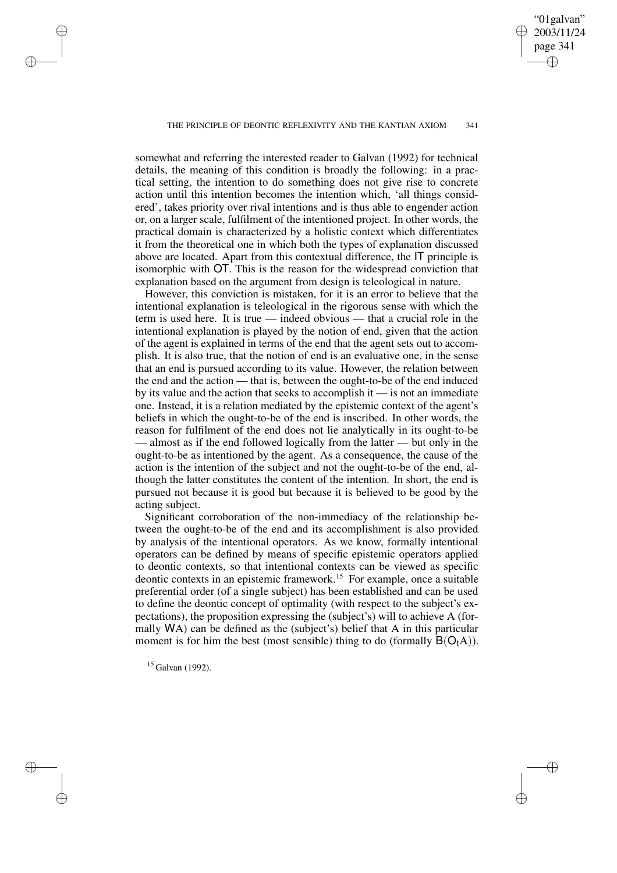✐

somewhat and referring the interested reader to Galvan (1992) for technical details, the meaning of this condition is broadly the following: in a practical setting, the intention to do something does not give rise to concrete action until this intention becomes the intention which, 'all things considered', takes priority over rival intentions and is thus able to engender action or, on a larger scale, fulfilment of the intentioned project. In other words, the practical domain is characterized by a holistic context which differentiates it from the theoretical one in which both the types of explanation discussed above are located. Apart from this contextual difference, the IT principle is isomorphic with OT. This is the reason for the widespread conviction that explanation based on the argument from design is teleological in nature.

However, this conviction is mistaken, for it is an error to believe that the intentional explanation is teleological in the rigorous sense with which the term is used here. It is true — indeed obvious — that a crucial role in the intentional explanation is played by the notion of end, given that the action of the agent is explained in terms of the end that the agent sets out to accomplish. It is also true, that the notion of end is an evaluative one, in the sense that an end is pursued according to its value. However, the relation between the end and the action — that is, between the ought-to-be of the end induced by its value and the action that seeks to accomplish it — is not an immediate one. Instead, it is a relation mediated by the epistemic context of the agent's beliefs in which the ought-to-be of the end is inscribed. In other words, the reason for fulfilment of the end does not lie analytically in its ought-to-be — almost as if the end followed logically from the latter — but only in the ought-to-be as intentioned by the agent. As a consequence, the cause of the action is the intention of the subject and not the ought-to-be of the end, although the latter constitutes the content of the intention. In short, the end is pursued not because it is good but because it is believed to be good by the acting subject.

Significant corroboration of the non-immediacy of the relationship between the ought-to-be of the end and its accomplishment is also provided by analysis of the intentional operators. As we know, formally intentional operators can be defined by means of specific epistemic operators applied to deontic contexts, so that intentional contexts can be viewed as specific deontic contexts in an epistemic framework.<sup>15</sup> For example, once a suitable preferential order (of a single subject) has been established and can be used to define the deontic concept of optimality (with respect to the subject's expectations), the proposition expressing the (subject's) will to achieve A (formally WA) can be defined as the (subject's) belief that A in this particular moment is for him the best (most sensible) thing to do (formally  $B(O<sub>t</sub>A)$ ).

 $15$  Galvan (1992).

✐

✐

✐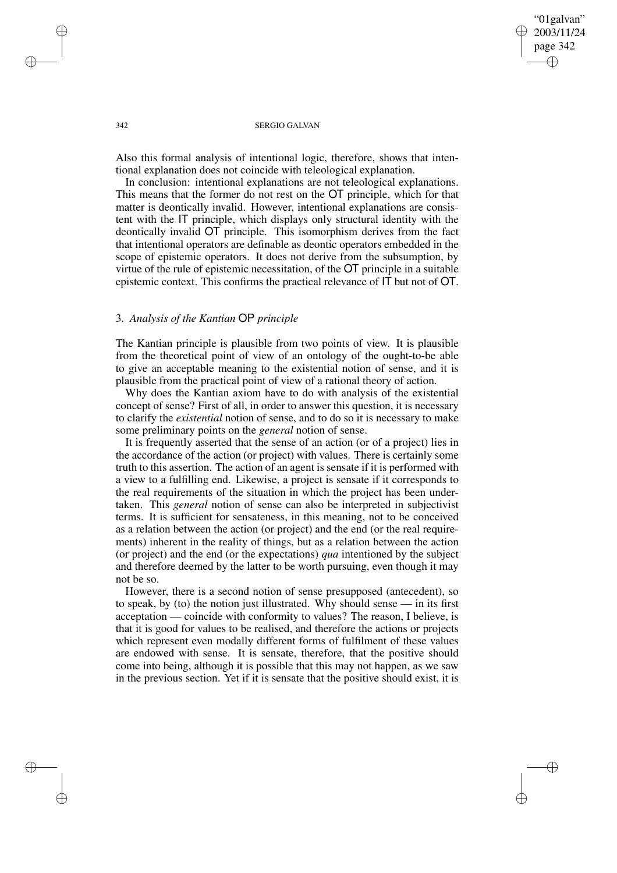"01galvan" 2003/11/24 page 342 ✐ ✐

✐

✐

#### 342 SERGIO GALVAN

Also this formal analysis of intentional logic, therefore, shows that intentional explanation does not coincide with teleological explanation.

In conclusion: intentional explanations are not teleological explanations. This means that the former do not rest on the OT principle, which for that matter is deontically invalid. However, intentional explanations are consistent with the IT principle, which displays only structural identity with the deontically invalid OT principle. This isomorphism derives from the fact that intentional operators are definable as deontic operators embedded in the scope of epistemic operators. It does not derive from the subsumption, by virtue of the rule of epistemic necessitation, of the OT principle in a suitable epistemic context. This confirms the practical relevance of IT but not of OT.

### 3. *Analysis of the Kantian* OP *principle*

The Kantian principle is plausible from two points of view. It is plausible from the theoretical point of view of an ontology of the ought-to-be able to give an acceptable meaning to the existential notion of sense, and it is plausible from the practical point of view of a rational theory of action.

Why does the Kantian axiom have to do with analysis of the existential concept of sense? First of all, in order to answer this question, it is necessary to clarify the *existential* notion of sense, and to do so it is necessary to make some preliminary points on the *general* notion of sense.

It is frequently asserted that the sense of an action (or of a project) lies in the accordance of the action (or project) with values. There is certainly some truth to this assertion. The action of an agent is sensate if it is performed with a view to a fulfilling end. Likewise, a project is sensate if it corresponds to the real requirements of the situation in which the project has been undertaken. This *general* notion of sense can also be interpreted in subjectivist terms. It is sufficient for sensateness, in this meaning, not to be conceived as a relation between the action (or project) and the end (or the real requirements) inherent in the reality of things, but as a relation between the action (or project) and the end (or the expectations) *qua* intentioned by the subject and therefore deemed by the latter to be worth pursuing, even though it may not be so.

However, there is a second notion of sense presupposed (antecedent), so to speak, by (to) the notion just illustrated. Why should sense — in its first acceptation — coincide with conformity to values? The reason, I believe, is that it is good for values to be realised, and therefore the actions or projects which represent even modally different forms of fulfilment of these values are endowed with sense. It is sensate, therefore, that the positive should come into being, although it is possible that this may not happen, as we saw in the previous section. Yet if it is sensate that the positive should exist, it is

✐

✐

✐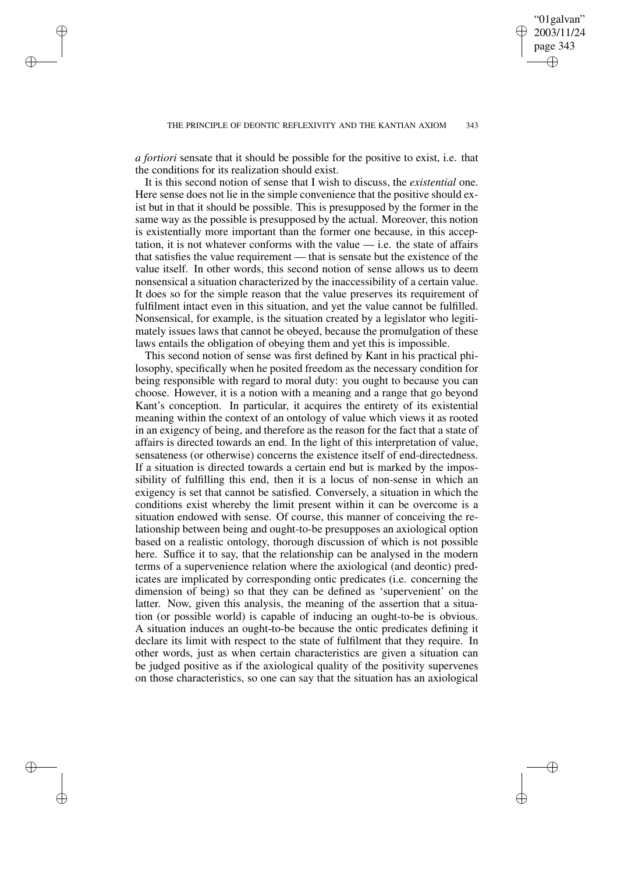"01galvan" 2003/11/24 page 343

✐

✐

✐

✐

*a fortiori* sensate that it should be possible for the positive to exist, i.e. that the conditions for its realization should exist.

✐

✐

✐

✐

It is this second notion of sense that I wish to discuss, the *existential* one. Here sense does not lie in the simple convenience that the positive should exist but in that it should be possible. This is presupposed by the former in the same way as the possible is presupposed by the actual. Moreover, this notion is existentially more important than the former one because, in this acceptation, it is not whatever conforms with the value — i.e. the state of affairs that satisfies the value requirement — that is sensate but the existence of the value itself. In other words, this second notion of sense allows us to deem nonsensical a situation characterized by the inaccessibility of a certain value. It does so for the simple reason that the value preserves its requirement of fulfilment intact even in this situation, and yet the value cannot be fulfilled. Nonsensical, for example, is the situation created by a legislator who legitimately issues laws that cannot be obeyed, because the promulgation of these laws entails the obligation of obeying them and yet this is impossible.

This second notion of sense was first defined by Kant in his practical philosophy, specifically when he posited freedom as the necessary condition for being responsible with regard to moral duty: you ought to because you can choose. However, it is a notion with a meaning and a range that go beyond Kant's conception. In particular, it acquires the entirety of its existential meaning within the context of an ontology of value which views it as rooted in an exigency of being, and therefore as the reason for the fact that a state of affairs is directed towards an end. In the light of this interpretation of value, sensateness (or otherwise) concerns the existence itself of end-directedness. If a situation is directed towards a certain end but is marked by the impossibility of fulfilling this end, then it is a locus of non-sense in which an exigency is set that cannot be satisfied. Conversely, a situation in which the conditions exist whereby the limit present within it can be overcome is a situation endowed with sense. Of course, this manner of conceiving the relationship between being and ought-to-be presupposes an axiological option based on a realistic ontology, thorough discussion of which is not possible here. Suffice it to say, that the relationship can be analysed in the modern terms of a supervenience relation where the axiological (and deontic) predicates are implicated by corresponding ontic predicates (i.e. concerning the dimension of being) so that they can be defined as 'supervenient' on the latter. Now, given this analysis, the meaning of the assertion that a situation (or possible world) is capable of inducing an ought-to-be is obvious. A situation induces an ought-to-be because the ontic predicates defining it declare its limit with respect to the state of fulfilment that they require. In other words, just as when certain characteristics are given a situation can be judged positive as if the axiological quality of the positivity supervenes on those characteristics, so one can say that the situation has an axiological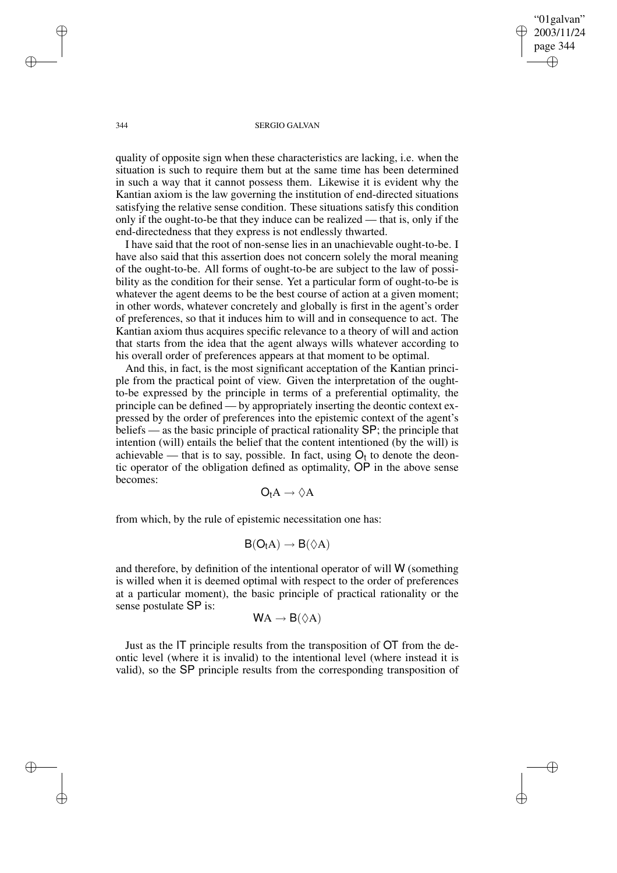✐

#### 344 SERGIO GALVAN

quality of opposite sign when these characteristics are lacking, i.e. when the situation is such to require them but at the same time has been determined in such a way that it cannot possess them. Likewise it is evident why the Kantian axiom is the law governing the institution of end-directed situations satisfying the relative sense condition. These situations satisfy this condition only if the ought-to-be that they induce can be realized — that is, only if the end-directedness that they express is not endlessly thwarted.

I have said that the root of non-sense lies in an unachievable ought-to-be. I have also said that this assertion does not concern solely the moral meaning of the ought-to-be. All forms of ought-to-be are subject to the law of possibility as the condition for their sense. Yet a particular form of ought-to-be is whatever the agent deems to be the best course of action at a given moment; in other words, whatever concretely and globally is first in the agent's order of preferences, so that it induces him to will and in consequence to act. The Kantian axiom thus acquires specific relevance to a theory of will and action that starts from the idea that the agent always wills whatever according to his overall order of preferences appears at that moment to be optimal.

And this, in fact, is the most significant acceptation of the Kantian principle from the practical point of view. Given the interpretation of the oughtto-be expressed by the principle in terms of a preferential optimality, the principle can be defined — by appropriately inserting the deontic context expressed by the order of preferences into the epistemic context of the agent's beliefs — as the basic principle of practical rationality SP; the principle that intention (will) entails the belief that the content intentioned (by the will) is achievable — that is to say, possible. In fact, using  $O_t$  to denote the deontic operator of the obligation defined as optimality, OP in the above sense becomes:

$$
O_t A \to \Diamond A
$$

from which, by the rule of epistemic necessitation one has:

$$
B(O_tA)\to B(\Diamond A)
$$

and therefore, by definition of the intentional operator of will W (something is willed when it is deemed optimal with respect to the order of preferences at a particular moment), the basic principle of practical rationality or the sense postulate SP is:

$$
WA \rightarrow B(\Diamond A)
$$

Just as the IT principle results from the transposition of OT from the deontic level (where it is invalid) to the intentional level (where instead it is valid), so the SP principle results from the corresponding transposition of

✐

✐

✐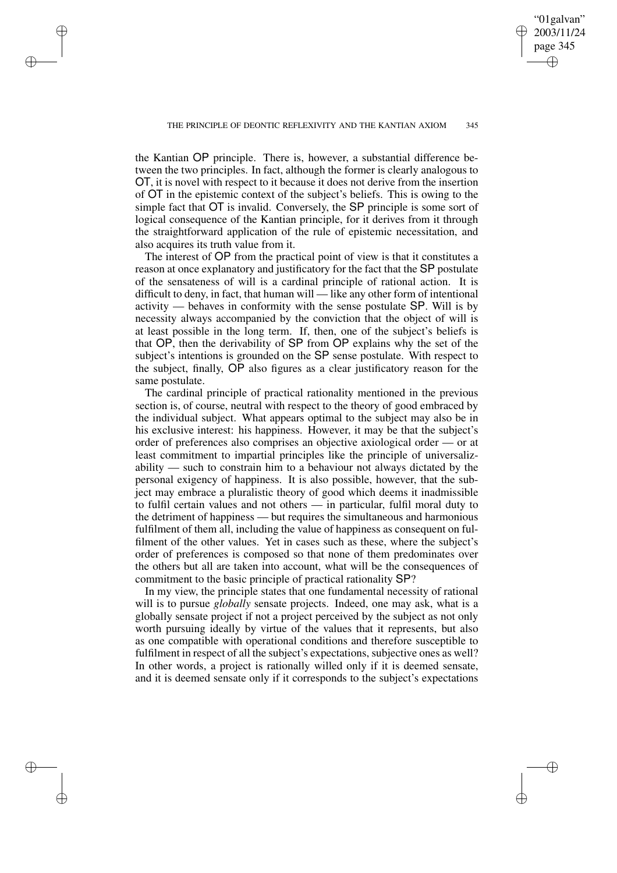✐

✐

✐

✐

✐

the Kantian OP principle. There is, however, a substantial difference between the two principles. In fact, although the former is clearly analogous to OT, it is novel with respect to it because it does not derive from the insertion of OT in the epistemic context of the subject's beliefs. This is owing to the simple fact that OT is invalid. Conversely, the SP principle is some sort of logical consequence of the Kantian principle, for it derives from it through the straightforward application of the rule of epistemic necessitation, and also acquires its truth value from it.

The interest of OP from the practical point of view is that it constitutes a reason at once explanatory and justificatory for the fact that the SP postulate of the sensateness of will is a cardinal principle of rational action. It is difficult to deny, in fact, that human will — like any other form of intentional activity — behaves in conformity with the sense postulate SP. Will is by necessity always accompanied by the conviction that the object of will is at least possible in the long term. If, then, one of the subject's beliefs is that OP, then the derivability of SP from OP explains why the set of the subject's intentions is grounded on the SP sense postulate. With respect to the subject, finally, OP also figures as a clear justificatory reason for the same postulate.

The cardinal principle of practical rationality mentioned in the previous section is, of course, neutral with respect to the theory of good embraced by the individual subject. What appears optimal to the subject may also be in his exclusive interest: his happiness. However, it may be that the subject's order of preferences also comprises an objective axiological order — or at least commitment to impartial principles like the principle of universalizability — such to constrain him to a behaviour not always dictated by the personal exigency of happiness. It is also possible, however, that the subject may embrace a pluralistic theory of good which deems it inadmissible to fulfil certain values and not others — in particular, fulfil moral duty to the detriment of happiness — but requires the simultaneous and harmonious fulfilment of them all, including the value of happiness as consequent on fulfilment of the other values. Yet in cases such as these, where the subject's order of preferences is composed so that none of them predominates over the others but all are taken into account, what will be the consequences of commitment to the basic principle of practical rationality SP?

In my view, the principle states that one fundamental necessity of rational will is to pursue *globally* sensate projects. Indeed, one may ask, what is a globally sensate project if not a project perceived by the subject as not only worth pursuing ideally by virtue of the values that it represents, but also as one compatible with operational conditions and therefore susceptible to fulfilment in respect of all the subject's expectations, subjective ones as well? In other words, a project is rationally willed only if it is deemed sensate, and it is deemed sensate only if it corresponds to the subject's expectations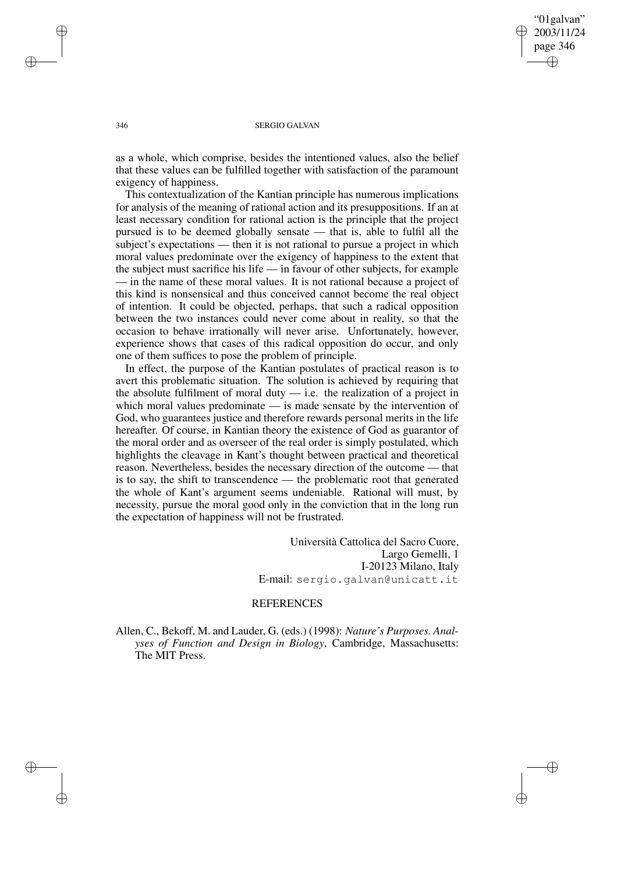"01galvan" 2003/11/24 page 346 ✐ ✐

✐

✐

#### 346 SERGIO GALVAN

as a whole, which comprise, besides the intentioned values, also the belief that these values can be fulfilled together with satisfaction of the paramount exigency of happiness.

This contextualization of the Kantian principle has numerous implications for analysis of the meaning of rational action and its presuppositions. If an at least necessary condition for rational action is the principle that the project pursued is to be deemed globally sensate — that is, able to fulfil all the subject's expectations — then it is not rational to pursue a project in which moral values predominate over the exigency of happiness to the extent that the subject must sacrifice his life — in favour of other subjects, for example — in the name of these moral values. It is not rational because a project of this kind is nonsensical and thus conceived cannot become the real object of intention. It could be objected, perhaps, that such a radical opposition between the two instances could never come about in reality, so that the occasion to behave irrationally will never arise. Unfortunately, however, experience shows that cases of this radical opposition do occur, and only one of them suffices to pose the problem of principle.

In effect, the purpose of the Kantian postulates of practical reason is to avert this problematic situation. The solution is achieved by requiring that the absolute fulfilment of moral duty  $-$  i.e. the realization of a project in which moral values predominate — is made sensate by the intervention of God, who guarantees justice and therefore rewards personal merits in the life hereafter. Of course, in Kantian theory the existence of God as guarantor of the moral order and as overseer of the real order is simply postulated, which highlights the cleavage in Kant's thought between practical and theoretical reason. Nevertheless, besides the necessary direction of the outcome — that is to say, the shift to transcendence — the problematic root that generated the whole of Kant's argument seems undeniable. Rational will must, by necessity, pursue the moral good only in the conviction that in the long run the expectation of happiness will not be frustrated.

> Università Cattolica del Sacro Cuore, Largo Gemelli, 1 I-20123 Milano, Italy E-mail: sergio.galvan@unicatt.it

### REFERENCES

Allen, C., Bekoff, M. and Lauder, G. (eds.) (1998): *Nature's Purposes. Analyses of Function and Design in Biology*, Cambridge, Massachusetts: The MIT Press.

✐

✐

✐